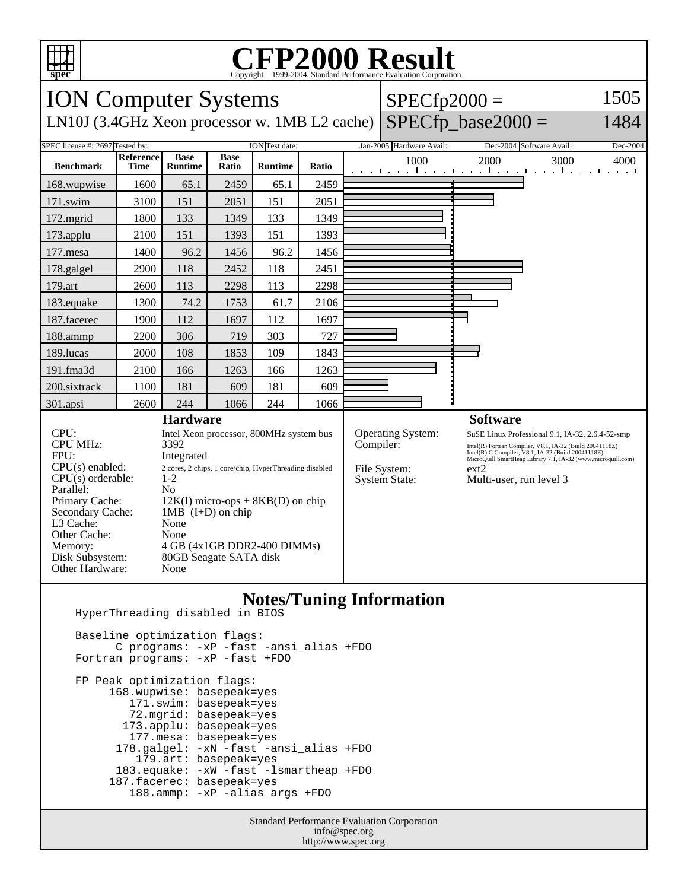

## Copyright ©1999-2004, Standard Performance Evaluation Corporation

| <b>ION Computer Systems</b>                                                                                                                                                                          |                                                                                                                                                                                                                                                |                               |                      |                |       |                                            | $SPECfp2000 =$                                                                                                                                                                                                    |                                                                     | 1505         |
|------------------------------------------------------------------------------------------------------------------------------------------------------------------------------------------------------|------------------------------------------------------------------------------------------------------------------------------------------------------------------------------------------------------------------------------------------------|-------------------------------|----------------------|----------------|-------|--------------------------------------------|-------------------------------------------------------------------------------------------------------------------------------------------------------------------------------------------------------------------|---------------------------------------------------------------------|--------------|
| LN10J (3.4GHz Xeon processor w. 1MB L2 cache)                                                                                                                                                        |                                                                                                                                                                                                                                                |                               |                      |                |       |                                            |                                                                                                                                                                                                                   | $SPECfp\_base2000 =$                                                | 1484         |
| SPEC license #: 2697 Tested by:<br><b>ION</b> Test date:                                                                                                                                             |                                                                                                                                                                                                                                                |                               |                      |                |       |                                            | Jan-2005 Hardware Avail:                                                                                                                                                                                          | Dec-2004 Software Avail:                                            | Dec-2004     |
| <b>Benchmark</b>                                                                                                                                                                                     | Reference<br><b>Time</b>                                                                                                                                                                                                                       | <b>Base</b><br><b>Runtime</b> | <b>Base</b><br>Ratio | <b>Runtime</b> | Ratio |                                            | 1000                                                                                                                                                                                                              | 2000<br>التعبيل ويعارضه والمتحارب والمتحرق والمتحرق والمتعارض       | 3000<br>4000 |
| 168.wupwise                                                                                                                                                                                          | 1600                                                                                                                                                                                                                                           | 65.1                          | 2459                 | 65.1           | 2459  |                                            |                                                                                                                                                                                                                   |                                                                     |              |
| 171.swim                                                                                                                                                                                             | 3100                                                                                                                                                                                                                                           | 151                           | 2051                 | 151            | 2051  |                                            |                                                                                                                                                                                                                   |                                                                     |              |
| 172.mgrid                                                                                                                                                                                            | 1800                                                                                                                                                                                                                                           | 133                           | 1349                 | 133            | 1349  |                                            |                                                                                                                                                                                                                   |                                                                     |              |
| 173.applu                                                                                                                                                                                            | 2100                                                                                                                                                                                                                                           | 151                           | 1393                 | 151            | 1393  |                                            |                                                                                                                                                                                                                   |                                                                     |              |
| $177$ .mesa                                                                                                                                                                                          | 1400                                                                                                                                                                                                                                           | 96.2                          | 1456                 | 96.2           | 1456  |                                            |                                                                                                                                                                                                                   |                                                                     |              |
| 178.galgel                                                                                                                                                                                           | 2900                                                                                                                                                                                                                                           | 118                           | 2452                 | 118            | 2451  |                                            |                                                                                                                                                                                                                   |                                                                     |              |
| 179.art                                                                                                                                                                                              | 2600                                                                                                                                                                                                                                           | 113                           | 2298                 | 113            | 2298  |                                            |                                                                                                                                                                                                                   |                                                                     |              |
| 183.equake                                                                                                                                                                                           | 1300                                                                                                                                                                                                                                           | 74.2                          | 1753                 | 61.7           | 2106  |                                            |                                                                                                                                                                                                                   |                                                                     |              |
| 187.facerec                                                                                                                                                                                          | 1900                                                                                                                                                                                                                                           | 112                           | 1697                 | 112            | 1697  |                                            |                                                                                                                                                                                                                   |                                                                     |              |
| 188.ammp                                                                                                                                                                                             | 2200                                                                                                                                                                                                                                           | 306                           | 719                  | 303            | 727   |                                            |                                                                                                                                                                                                                   |                                                                     |              |
| 189.lucas                                                                                                                                                                                            | 2000                                                                                                                                                                                                                                           | 108                           | 1853                 | 109            | 1843  |                                            |                                                                                                                                                                                                                   |                                                                     |              |
| 191.fma3d                                                                                                                                                                                            | 2100                                                                                                                                                                                                                                           | 166                           | 1263                 | 166            | 1263  |                                            |                                                                                                                                                                                                                   |                                                                     |              |
| 200.sixtrack                                                                                                                                                                                         | 1100                                                                                                                                                                                                                                           | 181                           | 609                  | 181            | 609   |                                            |                                                                                                                                                                                                                   |                                                                     |              |
| 301.apsi                                                                                                                                                                                             | 2600                                                                                                                                                                                                                                           | 244                           | 1066                 | 244            | 1066  |                                            |                                                                                                                                                                                                                   |                                                                     |              |
| <b>Hardware</b><br>CPU:<br>Intel Xeon processor, 800MHz system bus                                                                                                                                   |                                                                                                                                                                                                                                                |                               |                      |                |       |                                            | Operating System:                                                                                                                                                                                                 | <b>Software</b><br>SuSE Linux Professional 9.1, IA-32, 2.6.4-52-smp |              |
| <b>CPU MHz:</b><br>FPU:<br>$CPU(s)$ enabled:<br>$CPU(s)$ orderable:<br>Parallel:<br>Primary Cache:<br>Secondary Cache:<br>L3 Cache:<br>Other Cache:<br>Memory:<br>Disk Subsystem:<br>Other Hardware: | 3392<br>Integrated<br>2 cores, 2 chips, 1 core/chip, HyperThreading disabled<br>$1 - 2$<br>No<br>$12K(I)$ micro-ops + $8KB(D)$ on chip<br>1MB $(I+D)$ on chip<br>None<br>None<br>4 GB (4x1GB DDR2-400 DIMMs)<br>80GB Seagate SATA disk<br>None |                               |                      |                |       | Compiler:<br>File System:<br>System State: | Intel(R) Fortran Compiler, V8.1, IA-32 (Build 20041118Z)<br>Intel(R) C Compiler, V8.1, IA-32 (Build 20041118Z)<br>MicroQuill SmartHeap Library 7.1, IA-32 (www.microquill.com)<br>ext2<br>Multi-user, run level 3 |                                                                     |              |

## **Notes/Tuning Information**

HyperThreading disabled in BIOS

 Baseline optimization flags: C programs: -xP -fast -ansi\_alias +FDO Fortran programs: -xP -fast +FDO FP Peak optimization flags: 168.wupwise: basepeak=yes 171.swim: basepeak=yes 72.mgrid: basepeak=yes 173.applu: basepeak=yes 177.mesa: basepeak=yes 178.galgel: -xN -fast -ansi\_alias +FDO 179.art: basepeak=yes 183.equake: -xW -fast -lsmartheap +FDO 187.facerec: basepeak=yes 188.ammp: -xP -alias\_args +FDO

> Standard Performance Evaluation Corporation info@spec.org http://www.spec.org